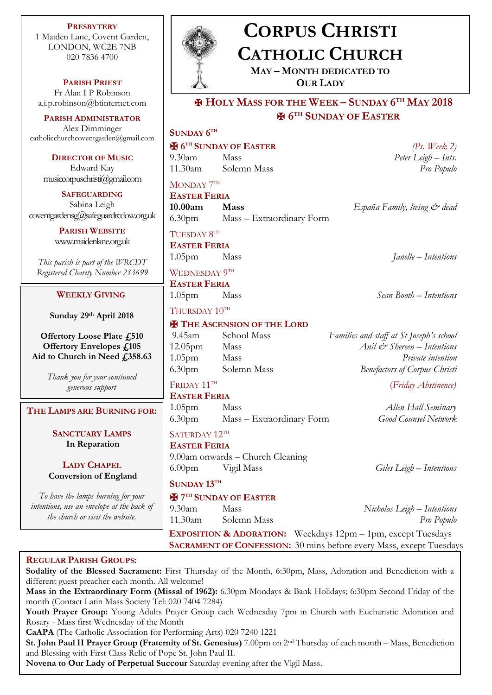**PRESBYTERY** 1 Maiden Lane, Covent Garden, LONDON, WC2E 7NB 020 7836 4700

**PARISH PRIEST** Fr Alan I P Robinson [a.i.p.robinson@btinternet.com](mailto:a.i.p.robinson@btinternet.com)

**PARISH ADMINISTRATOR** Alex Dimminger [catholicchurchcoventgarden@gmail.com](mailto:catholicchurchcoventgarden@gmail.com)

> **DIRECTOR OF MUSIC** Edward Kay musiccorpuschristi@gmail.com

**SAFEGUARDING** Sabina Leigh [coventgardensg@safeguardrcdow.org.uk](mailto:coventgardensg@safeguardrcdow.org.uk)

> **PARISH WEBSITE** [www.maidenlane.org.uk](http://www.maidenlane.org.uk/)

*This parish is part of the WRCDT Registered Charity Number 233699*

## **WEEKLY GIVING**

**Sunday 29th April 2018** 

**Offertory Loose Plate £510 Offertory Envelopes £105 Aid to Church in Need £358.63**

> *Thank you for your continued generous support*

**THE LAMPS ARE BURNING FOR:**

**SANCTUARY LAMPS In Reparation**

**LADY CHAPEL Conversion of England**

*To have the lamps burning for your intentions, use an envelope at the back of the church or visit the website.*



# **CORPUS CHRISTI CATHOLIC CHURCH**

**MAY – MONTH DEDICATED TO OUR LADY**

✠ **HOLY MASS FOR THE WEEK – SUNDAY 6 TH MAY 2018** ✠ **6 TH SUNDAY OF EASTER**

# **SUNDAY 6 TH**

✠ **6 TH SUNDAY OF EASTER** *(Ps. Week 2)* 9.30am Mass *Peter Leigh – Ints.*

11.30am Solemn Mass *Pro Populo*

MONDAY  $7^{\text{th}}$ 

**EASTER FERIA 10.00am Mass** *España Family, living & dead* 6.30pm Mass – Extraordinary Form

 $\mathrm{T}$ UESDAY  $8^\mathrm{TH}$ 

**EASTER FERIA**

WEDNESDAY  $9^{\text{\tiny{TH}}}$ 

**EASTER FERIA**

# THURSDAY 10TH

## **E** THE ASCENSION OF THE LORD

#### FRIDAY 11TH **EASTER FERIA**

1.05pm Mass *Allen Hall Seminary* 6.30pm Mass – Extraordinary Form *Good Counsel Network*

#### SATURDAY 12TH **EASTER FERIA**

9.00am onwards – Church Cleaning 6.00pm Vigil Mass *Giles Leigh – Intentions*

# **SUNDAY 13TH**

# ✠ **7 TH SUNDAY OF EASTER**

1.05pm Mass *Janelle – Intentions*

1.05pm Mass *Sean Booth – Intentions*

9.45am School Mass *Families and staff at St Joseph's school* 12.05pm Mass *Anil & Shereen – Intentions* 1.05pm Mass *Private intention* 6.30pm Solemn Mass *Benefactors of Corpus Christi*

# (*Friday Abstinence)*

9.30am Mass *Nicholas Leigh – Intentions* 11.30am Solemn Mass *Pro Populo*

**EXPOSITION & ADORATION:** Weekdays 12pm – 1pm, except Tuesdays **SACRAMENT OF CONFESSION:** 30 mins before every Mass, except Tuesdays

#### **REGULAR PARISH GROUPS:**

**Sodality of the Blessed Sacrament:** First Thursday of the Month, 6:30pm, Mass, Adoration and Benediction with a different guest preacher each month. All welcome! **Mass in the Extraordinary Form (Missal of 1962):** 6.30pm Mondays & Bank Holidays; 6:30pm Second Friday of the month (Contact Latin Mass Society Tel: 020 7404 7284) **Youth Prayer Group:** Young Adults Prayer Group each Wednesday 7pm in Church with Eucharistic Adoration and Rosary - Mass first Wednesday of the Month

**CaAPA** (The Catholic Association for Performing Arts) 020 7240 1221

**St. John Paul II Prayer Group (Fraternity of St. Genesius)** 7.00pm on 2nd Thursday of each month – Mass, Benediction and Blessing with First Class Relic of Pope St. John Paul II.

**Novena to Our Lady of Perpetual Succour** Saturday evening after the Vigil Mass.